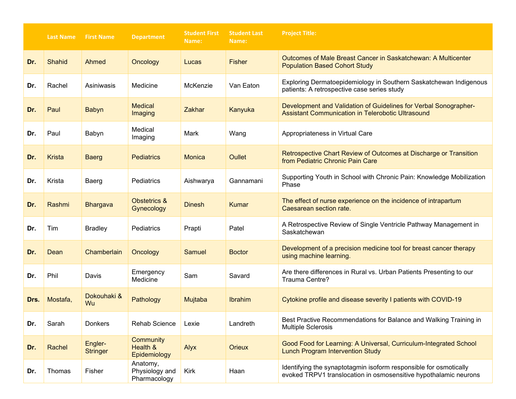|      | <b>Last Name</b> | <b>First Name</b>          | <b>Department</b>                          | <b>Student First</b><br>Name: | <b>Student Last</b><br>Name: | <b>Project Title:</b>                                                                                                                 |
|------|------------------|----------------------------|--------------------------------------------|-------------------------------|------------------------------|---------------------------------------------------------------------------------------------------------------------------------------|
| Dr.  | <b>Shahid</b>    | Ahmed                      | Oncology                                   | Lucas                         | <b>Fisher</b>                | Outcomes of Male Breast Cancer in Saskatchewan: A Multicenter<br><b>Population Based Cohort Study</b>                                 |
| Dr.  | Rachel           | Asiniwasis                 | Medicine                                   | McKenzie                      | Van Eaton                    | Exploring Dermatoepidemiology in Southern Saskatchewan Indigenous<br>patients: A retrospective case series study                      |
| Dr.  | Paul             | <b>Babyn</b>               | <b>Medical</b><br>Imaging                  | <b>Zakhar</b>                 | Kanyuka                      | Development and Validation of Guidelines for Verbal Sonographer-<br><b>Assistant Communication in Telerobotic Ultrasound</b>          |
| Dr.  | Paul             | Babyn                      | Medical<br>Imaging                         | Mark                          | Wang                         | Appropriateness in Virtual Care                                                                                                       |
| Dr.  | <b>Krista</b>    | <b>Baerg</b>               | <b>Pediatrics</b>                          | Monica                        | <b>Oullet</b>                | Retrospective Chart Review of Outcomes at Discharge or Transition<br>from Pediatric Chronic Pain Care                                 |
| Dr.  | Krista           | Baerg                      | Pediatrics                                 | Aishwarya                     | Gannamani                    | Supporting Youth in School with Chronic Pain: Knowledge Mobilization<br>Phase                                                         |
| Dr.  | Rashmi           | <b>Bhargava</b>            | <b>Obstetrics &amp;</b><br>Gynecology      | <b>Dinesh</b>                 | Kumar                        | The effect of nurse experience on the incidence of intrapartum<br>Caesarean section rate.                                             |
| Dr.  | Tim              | <b>Bradley</b>             | Pediatrics                                 | Prapti                        | Patel                        | A Retrospective Review of Single Ventricle Pathway Management in<br>Saskatchewan                                                      |
| Dr.  | Dean             | Chamberlain                | Oncology                                   | <b>Samuel</b>                 | <b>Boctor</b>                | Development of a precision medicine tool for breast cancer therapy<br>using machine learning.                                         |
| Dr.  | Phil             | Davis                      | Emergency<br>Medicine                      | Sam                           | Savard                       | Are there differences in Rural vs. Urban Patients Presenting to our<br>Trauma Centre?                                                 |
| Drs. | Mostafa,         | Dokouhaki &<br>Wu          | Pathology                                  | Mujtaba                       | <b>Ibrahim</b>               | Cytokine profile and disease severity I patients with COVID-19                                                                        |
| Dr.  | Sarah            | Donkers                    | <b>Rehab Science</b>                       | Lexie                         | Landreth                     | Best Practive Recommendations for Balance and Walking Training in<br><b>Multiple Sclerosis</b>                                        |
| Dr.  | Rachel           | Engler-<br><b>Stringer</b> | Community<br>Health &<br>Epidemiology      | <b>Alyx</b>                   | <b>Orieux</b>                | Good Food for Learning: A Universal, Curriculum-Integrated School<br><b>Lunch Program Intervention Study</b>                          |
| Dr.  | Thomas           | Fisher                     | Anatomy,<br>Physiology and<br>Pharmacology | Kirk                          | Haan                         | Identifying the synaptotagmin isoform responsible for osmotically<br>evoked TRPV1 translocation in osmosensitive hypothalamic neurons |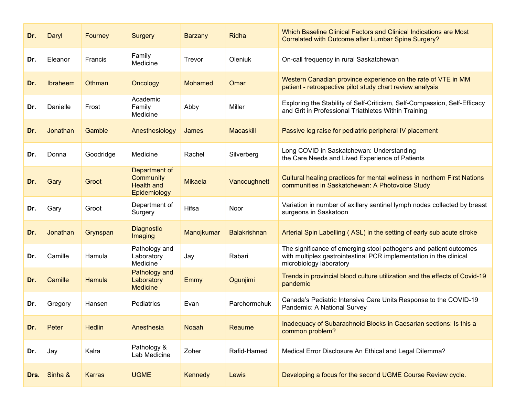| Dr.  | Daryl    | Fourney       | <b>Surgery</b>                                                  | <b>Barzany</b> | Ridha               | Which Baseline Clinical Factors and Clinical Indications are Most<br>Correlated with Outcome after Lumbar Spine Surgery?                                           |
|------|----------|---------------|-----------------------------------------------------------------|----------------|---------------------|--------------------------------------------------------------------------------------------------------------------------------------------------------------------|
| Dr.  | Eleanor  | Francis       | Family<br>Medicine                                              | Trevor         | Oleniuk             | On-call frequency in rural Saskatchewan                                                                                                                            |
| Dr.  | Ibraheem | Othman        | Oncology                                                        | <b>Mohamed</b> | Omar                | Western Canadian province experience on the rate of VTE in MM<br>patient - retrospective pilot study chart review analysis                                         |
| Dr.  | Danielle | Frost         | Academic<br>Family<br>Medicine                                  | Abby           | Miller              | Exploring the Stability of Self-Criticism, Self-Compassion, Self-Efficacy<br>and Grit in Professional Triathletes Within Training                                  |
| Dr.  | Jonathan | Gamble        | Anesthesiology                                                  | James          | <b>Macaskill</b>    | Passive leg raise for pediatric peripheral IV placement                                                                                                            |
| Dr.  | Donna    | Goodridge     | Medicine                                                        | Rachel         | Silverberg          | Long COVID in Saskatchewan: Understanding<br>the Care Needs and Lived Experience of Patients                                                                       |
| Dr.  | Gary     | Groot         | Department of<br>Community<br><b>Health and</b><br>Epidemiology | <b>Mikaela</b> | Vancoughnett        | Cultural healing practices for mental wellness in northern First Nations<br>communities in Saskatchewan: A Photovoice Study                                        |
| Dr.  | Gary     | Groot         | Department of<br>Surgery                                        | Hifsa          | Noor                | Variation in number of axillary sentinel lymph nodes collected by breast<br>surgeons in Saskatoon                                                                  |
| Dr.  | Jonathan | Grynspan      | <b>Diagnostic</b><br>Imaging                                    | Manojkumar     | <b>Balakrishnan</b> | Arterial Spin Labelling (ASL) in the setting of early sub acute stroke                                                                                             |
| Dr.  | Camille  | Hamula        | Pathology and<br>Laboratory<br>Medicine                         | Jay            | Rabari              | The significance of emerging stool pathogens and patient outcomes<br>with multiplex gastrointestinal PCR implementation in the clinical<br>microbiology laboratory |
| Dr.  | Camille  | Hamula        | Pathology and<br>Laboratory<br><b>Medicine</b>                  | Emmy           | Ogunjimi            | Trends in provincial blood culture utilization and the effects of Covid-19<br>pandemic                                                                             |
| Dr.  | Gregory  | Hansen        | Pediatrics                                                      | Evan           | Parchormchuk        | Canada's Pediatric Intensive Care Units Response to the COVID-19<br>Pandemic: A National Survey                                                                    |
| Dr.  | Peter    | <b>Hedlin</b> | Anesthesia                                                      | <b>Noaah</b>   | Reaume              | Inadequacy of Subarachnoid Blocks in Caesarian sections: Is this a<br>common problem?                                                                              |
| Dr.  | Jay      | Kalra         | Pathology &<br>Lab Medicine                                     | Zoher          | Rafid-Hamed         | Medical Error Disclosure An Ethical and Legal Dilemma?                                                                                                             |
| Drs. | Sinha &  | <b>Karras</b> | <b>UGME</b>                                                     | <b>Kennedy</b> | Lewis               | Developing a focus for the second UGME Course Review cycle.                                                                                                        |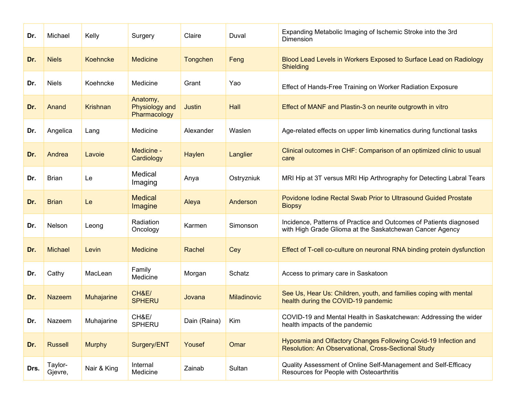| Dr.  | Michael            | Kelly           | Surgery                                    | Claire        | Duval              | Expanding Metabolic Imaging of Ischemic Stroke into the 3rd<br>Dimension                                                       |
|------|--------------------|-----------------|--------------------------------------------|---------------|--------------------|--------------------------------------------------------------------------------------------------------------------------------|
| Dr.  | <b>Niels</b>       | Koehncke        | <b>Medicine</b>                            | Tongchen      | Feng               | Blood Lead Levels in Workers Exposed to Surface Lead on Radiology<br><b>Shielding</b>                                          |
| Dr.  | <b>Niels</b>       | Koehncke        | Medicine                                   | Grant         | Yao                | Effect of Hands-Free Training on Worker Radiation Exposure                                                                     |
| Dr.  | Anand              | <b>Krishnan</b> | Anatomy,<br>Physiology and<br>Pharmacology | Justin        | Hall               | Effect of MANF and Plastin-3 on neurite outgrowth in vitro                                                                     |
| Dr.  | Angelica           | Lang            | Medicine                                   | Alexander     | Waslen             | Age-related effects on upper limb kinematics during functional tasks                                                           |
| Dr.  | Andrea             | Lavoie          | Medicine -<br>Cardiology                   | <b>Haylen</b> | Langlier           | Clinical outcomes in CHF: Comparison of an optimized clinic to usual<br>care                                                   |
| Dr.  | <b>Brian</b>       | Le              | Medical<br>Imaging                         | Anya          | Ostryzniuk         | MRI Hip at 3T versus MRI Hip Arthrography for Detecting Labral Tears                                                           |
| Dr.  | <b>Brian</b>       | Le              | <b>Medical</b><br>Imagine                  | Aleya         | Anderson           | Povidone Iodine Rectal Swab Prior to Ultrasound Guided Prostate<br><b>Biopsy</b>                                               |
| Dr.  | Nelson             | Leong           | Radiation<br>Oncology                      | Karmen        | Simonson           | Incidence, Patterns of Practice and Outcomes of Patients diagnosed<br>with High Grade Glioma at the Saskatchewan Cancer Agency |
| Dr.  | <b>Michael</b>     | Levin           | <b>Medicine</b>                            | Rachel        | Cey                | Effect of T-cell co-culture on neuronal RNA binding protein dysfunction                                                        |
| Dr.  | Cathy              | MacLean         | Family<br>Medicine                         | Morgan        | Schatz             | Access to primary care in Saskatoon                                                                                            |
| Dr.  | <b>Nazeem</b>      | Muhajarine      | CH&E/<br><b>SPHERU</b>                     | Jovana        | <b>Miladinovic</b> | See Us, Hear Us: Children, youth, and families coping with mental<br>health during the COVID-19 pandemic                       |
| Dr.  | Nazeem             | Muhajarine      | CH&E/<br><b>SPHERU</b>                     | Dain (Raina)  | Kim                | COVID-19 and Mental Health in Saskatchewan: Addressing the wider<br>health impacts of the pandemic                             |
| Dr.  | <b>Russell</b>     | <b>Murphy</b>   | Surgery/ENT                                | Yousef        | Omar               | Hyposmia and Olfactory Changes Following Covid-19 Infection and<br><b>Resolution: An Observational, Cross-Sectional Study</b>  |
| Drs. | Taylor-<br>Gjevre, | Nair & King     | Internal<br>Medicine                       | Zainab        | Sultan             | Quality Assessment of Online Self-Management and Self-Efficacy<br>Resources for People with Osteoarthritis                     |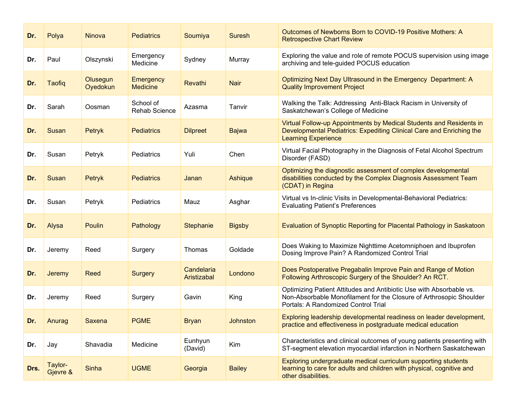| Dr.  | Polya               | Ninova               | <b>Pediatrics</b>                   | Soumiya                   | <b>Suresh</b>   | Outcomes of Newborns Born to COVID-19 Positive Mothers: A<br><b>Retrospective Chart Review</b>                                                                                    |
|------|---------------------|----------------------|-------------------------------------|---------------------------|-----------------|-----------------------------------------------------------------------------------------------------------------------------------------------------------------------------------|
| Dr.  | Paul                | Olszynski            | Emergency<br>Medicine               | Sydney                    | Murray          | Exploring the value and role of remote POCUS supervision using image<br>archiving and tele-guided POCUS education                                                                 |
| Dr.  | <b>Taofiq</b>       | Olusegun<br>Oyedokun | <b>Emergency</b><br><b>Medicine</b> | Revathi                   | <b>Nair</b>     | Optimizing Next Day Ultrasound in the Emergency Department: A<br><b>Quality Improvement Project</b>                                                                               |
| Dr.  | Sarah               | Oosman               | School of<br><b>Rehab Science</b>   | Azasma                    | Tanvir          | Walking the Talk: Addressing Anti-Black Racism in University of<br>Saskatchewan's College of Medicine                                                                             |
| Dr.  | Susan               | Petryk               | <b>Pediatrics</b>                   | <b>Dilpreet</b>           | <b>Bajwa</b>    | Virtual Follow-up Appointments by Medical Students and Residents in<br>Developmental Pediatrics: Expediting Clinical Care and Enriching the<br><b>Learning Experience</b>         |
| Dr.  | Susan               | Petryk               | Pediatrics                          | Yuli                      | Chen            | Virtual Facial Photography in the Diagnosis of Fetal Alcohol Spectrum<br>Disorder (FASD)                                                                                          |
| Dr.  | Susan               | Petryk               | <b>Pediatrics</b>                   | Janan                     | Ashique         | Optimizing the diagnostic assessment of complex developmental<br>disabilities conducted by the Complex Diagnosis Assessment Team<br>(CDAT) in Regina                              |
| Dr.  | Susan               | Petryk               | Pediatrics                          | Mauz                      | Asghar          | Virtual vs In-clinic Visits in Developmental-Behavioral Pediatrics:<br><b>Evaluating Patient's Preferences</b>                                                                    |
| Dr.  | Alysa               | Poulin               | Pathology                           | <b>Stephanie</b>          | <b>Bigsby</b>   | Evaluation of Synoptic Reporting for Placental Pathology in Saskatoon                                                                                                             |
| Dr.  | Jeremy              | Reed                 | Surgery                             | <b>Thomas</b>             | Goldade         | Does Waking to Maximize Nighttime Acetomniphoen and Ibuprofen<br>Dosing Improve Pain? A Randomized Control Trial                                                                  |
| Dr.  | <b>Jeremy</b>       | Reed                 | <b>Surgery</b>                      | Candelaria<br>Aristizabal | Londono         | Does Postoperative Pregabalin Improve Pain and Range of Motion<br>Following Arthroscopic Surgery of the Shoulder? An RCT.                                                         |
| Dr.  | Jeremy              | Reed                 | Surgery                             | Gavin                     | King            | Optimizing Patient Attitudes and Antibiotic Use with Absorbable vs.<br>Non-Absorbable Monofilament for the Closure of Arthrosopic Shoulder<br>Portals: A Randomized Control Trial |
| Dr.  | Anurag              | Saxena               | <b>PGME</b>                         | <b>Bryan</b>              | <b>Johnston</b> | Exploring leadership developmental readiness on leader development,<br>practice and effectiveness in postgraduate medical education                                               |
| Dr.  | Jay                 | Shavadia             | Medicine                            | Eunhyun<br>(David)        | Kim             | Characteristics and clinical outcomes of young patients presenting with<br>ST-segment elevation myocardial infarction in Northern Saskatchewan                                    |
| Drs. | Taylor-<br>Gjevre & | Sinha                | <b>UGME</b>                         | Georgia                   | <b>Bailey</b>   | Exploring undergraduate medical curriculum supporting students<br>learning to care for adults and children with physical, cognitive and<br>other disabilities.                    |